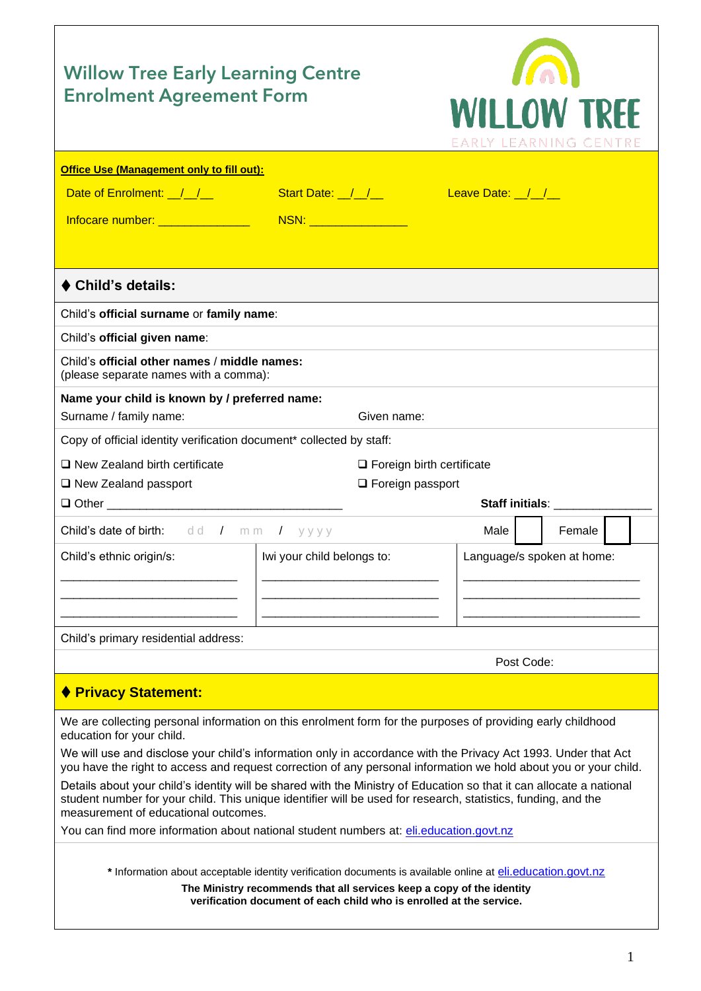| <b>Willow Tree Early Learning Centre</b><br><b>Enrolment Agreement Form</b>                                                                                                                                                                                                   | <b>WILLOW TREF</b><br>EARLY LEARNING CENTRE                                                                                                                                          |                                                                                                                  |  |  |  |
|-------------------------------------------------------------------------------------------------------------------------------------------------------------------------------------------------------------------------------------------------------------------------------|--------------------------------------------------------------------------------------------------------------------------------------------------------------------------------------|------------------------------------------------------------------------------------------------------------------|--|--|--|
| Office Use (Management only to fill out):                                                                                                                                                                                                                                     |                                                                                                                                                                                      |                                                                                                                  |  |  |  |
| Date of Enrolment: ////                                                                                                                                                                                                                                                       | Start Date: $\frac{1}{2}$ $\frac{1}{2}$                                                                                                                                              | Leave Date: ///                                                                                                  |  |  |  |
|                                                                                                                                                                                                                                                                               |                                                                                                                                                                                      |                                                                                                                  |  |  |  |
|                                                                                                                                                                                                                                                                               |                                                                                                                                                                                      |                                                                                                                  |  |  |  |
|                                                                                                                                                                                                                                                                               |                                                                                                                                                                                      |                                                                                                                  |  |  |  |
| ♦ Child's details:                                                                                                                                                                                                                                                            |                                                                                                                                                                                      |                                                                                                                  |  |  |  |
| Child's official surname or family name:                                                                                                                                                                                                                                      |                                                                                                                                                                                      |                                                                                                                  |  |  |  |
| Child's official given name:                                                                                                                                                                                                                                                  |                                                                                                                                                                                      |                                                                                                                  |  |  |  |
| Child's official other names / middle names:<br>(please separate names with a comma):                                                                                                                                                                                         |                                                                                                                                                                                      |                                                                                                                  |  |  |  |
| Name your child is known by / preferred name:                                                                                                                                                                                                                                 |                                                                                                                                                                                      |                                                                                                                  |  |  |  |
| Surname / family name:                                                                                                                                                                                                                                                        | Given name:                                                                                                                                                                          |                                                                                                                  |  |  |  |
| Copy of official identity verification document* collected by staff:                                                                                                                                                                                                          |                                                                                                                                                                                      |                                                                                                                  |  |  |  |
| $\Box$ New Zealand birth certificate                                                                                                                                                                                                                                          | $\Box$ Foreign birth certificate                                                                                                                                                     |                                                                                                                  |  |  |  |
| $\Box$ New Zealand passport                                                                                                                                                                                                                                                   | $\Box$ Foreign passport                                                                                                                                                              |                                                                                                                  |  |  |  |
|                                                                                                                                                                                                                                                                               |                                                                                                                                                                                      | Staff initials: __________                                                                                       |  |  |  |
| Child's date of birth: dd / mm / yyyy                                                                                                                                                                                                                                         |                                                                                                                                                                                      | <b>Male</b><br>Female                                                                                            |  |  |  |
| Child's ethnic origin/s:                                                                                                                                                                                                                                                      | Iwi your child belongs to:                                                                                                                                                           | Language/s spoken at home:                                                                                       |  |  |  |
|                                                                                                                                                                                                                                                                               |                                                                                                                                                                                      |                                                                                                                  |  |  |  |
|                                                                                                                                                                                                                                                                               |                                                                                                                                                                                      |                                                                                                                  |  |  |  |
|                                                                                                                                                                                                                                                                               |                                                                                                                                                                                      |                                                                                                                  |  |  |  |
| Child's primary residential address:                                                                                                                                                                                                                                          |                                                                                                                                                                                      |                                                                                                                  |  |  |  |
|                                                                                                                                                                                                                                                                               |                                                                                                                                                                                      | Post Code:                                                                                                       |  |  |  |
| ♦ Privacy Statement:                                                                                                                                                                                                                                                          |                                                                                                                                                                                      |                                                                                                                  |  |  |  |
| We are collecting personal information on this enrolment form for the purposes of providing early childhood<br>education for your child.                                                                                                                                      |                                                                                                                                                                                      |                                                                                                                  |  |  |  |
| We will use and disclose your child's information only in accordance with the Privacy Act 1993. Under that Act                                                                                                                                                                |                                                                                                                                                                                      | you have the right to access and request correction of any personal information we hold about you or your child. |  |  |  |
| Details about your child's identity will be shared with the Ministry of Education so that it can allocate a national<br>student number for your child. This unique identifier will be used for research, statistics, funding, and the<br>measurement of educational outcomes. |                                                                                                                                                                                      |                                                                                                                  |  |  |  |
| You can find more information about national student numbers at: eli.education.govt.nz                                                                                                                                                                                        |                                                                                                                                                                                      |                                                                                                                  |  |  |  |
|                                                                                                                                                                                                                                                                               |                                                                                                                                                                                      |                                                                                                                  |  |  |  |
|                                                                                                                                                                                                                                                                               | * Information about acceptable identity verification documents is available online at eli.education.govt.nz<br>The Ministry recommends that all services keep a copy of the identity |                                                                                                                  |  |  |  |
|                                                                                                                                                                                                                                                                               | verification document of each child who is enrolled at the service.                                                                                                                  |                                                                                                                  |  |  |  |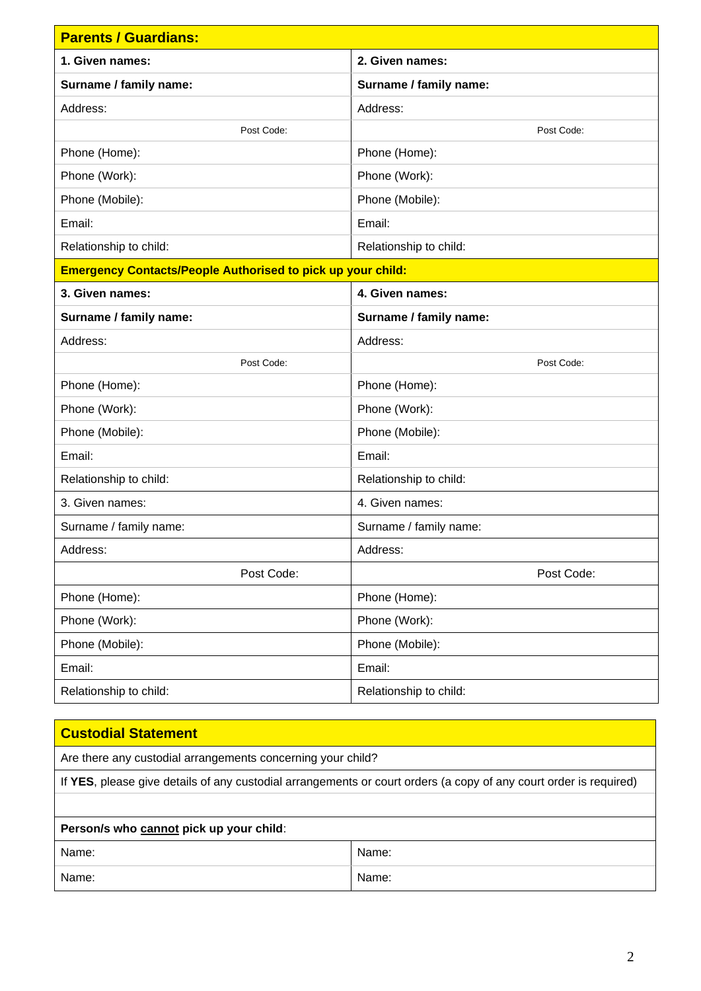| <b>Parents / Guardians:</b>                                        |                        |  |  |
|--------------------------------------------------------------------|------------------------|--|--|
| 1. Given names:                                                    | 2. Given names:        |  |  |
| Surname / family name:                                             | Surname / family name: |  |  |
| Address:                                                           | Address:               |  |  |
| Post Code:                                                         | Post Code:             |  |  |
| Phone (Home):                                                      | Phone (Home):          |  |  |
| Phone (Work):                                                      | Phone (Work):          |  |  |
| Phone (Mobile):                                                    | Phone (Mobile):        |  |  |
| Email:                                                             | Email:                 |  |  |
| Relationship to child:                                             | Relationship to child: |  |  |
| <b>Emergency Contacts/People Authorised to pick up your child:</b> |                        |  |  |
| 3. Given names:                                                    | 4. Given names:        |  |  |
| Surname / family name:                                             | Surname / family name: |  |  |
| Address:                                                           | Address:               |  |  |
| Post Code:                                                         | Post Code:             |  |  |
| Phone (Home):                                                      | Phone (Home):          |  |  |
| Phone (Work):                                                      | Phone (Work):          |  |  |
| Phone (Mobile):                                                    | Phone (Mobile):        |  |  |
| Email:                                                             | Email:                 |  |  |
| Relationship to child:                                             | Relationship to child: |  |  |
| 3. Given names:                                                    | 4. Given names:        |  |  |
| Surname / family name:                                             | Surname / family name: |  |  |
| Address:                                                           | Address:               |  |  |
| Post Code:                                                         | Post Code:             |  |  |
| Phone (Home):                                                      | Phone (Home):          |  |  |
| Phone (Work):                                                      | Phone (Work):          |  |  |
| Phone (Mobile):                                                    | Phone (Mobile):        |  |  |
| Email:                                                             | Email:                 |  |  |
| Relationship to child:                                             | Relationship to child: |  |  |

| <b>Custodial Statement</b>                                                                                        |  |  |  |
|-------------------------------------------------------------------------------------------------------------------|--|--|--|
| Are there any custodial arrangements concerning your child?                                                       |  |  |  |
| If YES, please give details of any custodial arrangements or court orders (a copy of any court order is required) |  |  |  |
|                                                                                                                   |  |  |  |
| Person/s who cannot pick up your child:                                                                           |  |  |  |
| Name:<br>Name:                                                                                                    |  |  |  |
| Name:<br>Name:                                                                                                    |  |  |  |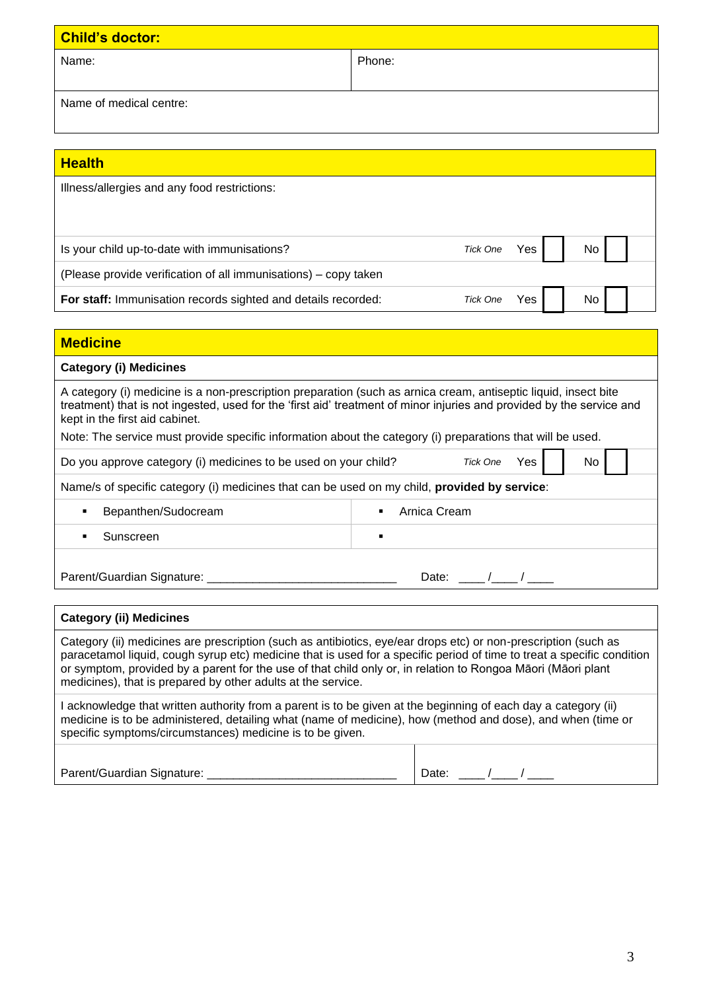| <b>Child's doctor:</b>  |        |  |  |
|-------------------------|--------|--|--|
| Name:                   | Phone: |  |  |
| Name of medical centre: |        |  |  |

| <b>Health</b>                                                                                                                                                                                                                                                                                                                                                                                                            |                |                               |     |           |  |
|--------------------------------------------------------------------------------------------------------------------------------------------------------------------------------------------------------------------------------------------------------------------------------------------------------------------------------------------------------------------------------------------------------------------------|----------------|-------------------------------|-----|-----------|--|
| Illness/allergies and any food restrictions:                                                                                                                                                                                                                                                                                                                                                                             |                |                               |     |           |  |
|                                                                                                                                                                                                                                                                                                                                                                                                                          |                |                               |     |           |  |
| Is your child up-to-date with immunisations?                                                                                                                                                                                                                                                                                                                                                                             |                | <b>Tick One</b>               | Yes | No        |  |
| (Please provide verification of all immunisations) – copy taken                                                                                                                                                                                                                                                                                                                                                          |                |                               |     |           |  |
| For staff: Immunisation records sighted and details recorded:                                                                                                                                                                                                                                                                                                                                                            |                | <b>Tick One</b>               | Yes | No        |  |
|                                                                                                                                                                                                                                                                                                                                                                                                                          |                |                               |     |           |  |
| <b>Medicine</b>                                                                                                                                                                                                                                                                                                                                                                                                          |                |                               |     |           |  |
| <b>Category (i) Medicines</b>                                                                                                                                                                                                                                                                                                                                                                                            |                |                               |     |           |  |
| A category (i) medicine is a non-prescription preparation (such as arnica cream, antiseptic liquid, insect bite<br>treatment) that is not ingested, used for the 'first aid' treatment of minor injuries and provided by the service and<br>kept in the first aid cabinet.<br>Note: The service must provide specific information about the category (i) preparations that will be used.                                 |                |                               |     |           |  |
| Do you approve category (i) medicines to be used on your child?                                                                                                                                                                                                                                                                                                                                                          |                | <b>Tick One</b>               | Yes | <b>No</b> |  |
| Name/s of specific category (i) medicines that can be used on my child, provided by service:                                                                                                                                                                                                                                                                                                                             |                |                               |     |           |  |
| Bepanthen/Sudocream<br>٠                                                                                                                                                                                                                                                                                                                                                                                                 |                | Arnica Cream                  |     |           |  |
| Sunscreen<br>٠                                                                                                                                                                                                                                                                                                                                                                                                           | $\blacksquare$ |                               |     |           |  |
|                                                                                                                                                                                                                                                                                                                                                                                                                          |                | Date: $\frac{1}{\sqrt{2\pi}}$ |     |           |  |
| <b>Category (ii) Medicines</b>                                                                                                                                                                                                                                                                                                                                                                                           |                |                               |     |           |  |
| Category (ii) medicines are prescription (such as antibiotics, eye/ear drops etc) or non-prescription (such as<br>paracetamol liquid, cough syrup etc) medicine that is used for a specific period of time to treat a specific condition<br>or symptom, provided by a parent for the use of that child only or, in relation to Rongoa Māori (Māori plant<br>medicines), that is prepared by other adults at the service. |                |                               |     |           |  |

I acknowledge that written authority from a parent is to be given at the beginning of each day a category (ii) medicine is to be administered, detailing what (name of medicine), how (method and dose), and when (time or specific symptoms/circumstances) medicine is to be given.

| Parent/Guardian Signature: | )ate<br>______ |
|----------------------------|----------------|
|----------------------------|----------------|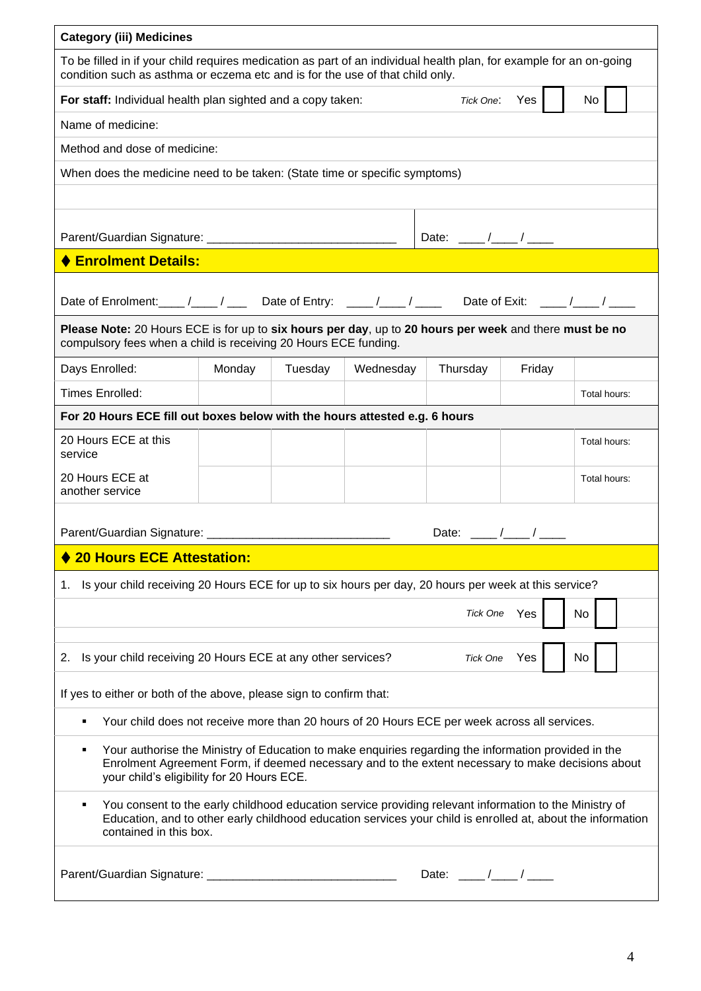| <b>Category (iii) Medicines</b>                                                                                                                                                                                                                                                    |        |         |           |                                        |               |              |
|------------------------------------------------------------------------------------------------------------------------------------------------------------------------------------------------------------------------------------------------------------------------------------|--------|---------|-----------|----------------------------------------|---------------|--------------|
| To be filled in if your child requires medication as part of an individual health plan, for example for an on-going<br>condition such as asthma or eczema etc and is for the use of that child only.                                                                               |        |         |           |                                        |               |              |
| For staff: Individual health plan sighted and a copy taken:                                                                                                                                                                                                                        |        |         |           |                                        | Tick One: Yes | No           |
| Name of medicine:                                                                                                                                                                                                                                                                  |        |         |           |                                        |               |              |
| Method and dose of medicine:                                                                                                                                                                                                                                                       |        |         |           |                                        |               |              |
| When does the medicine need to be taken: (State time or specific symptoms)                                                                                                                                                                                                         |        |         |           |                                        |               |              |
|                                                                                                                                                                                                                                                                                    |        |         |           |                                        |               |              |
|                                                                                                                                                                                                                                                                                    |        |         |           |                                        |               |              |
| ♦ Enrolment Details:                                                                                                                                                                                                                                                               |        |         |           |                                        |               |              |
| Date of Enrolment: ____ /____ / ____ Date of Entry: ____ /____ / ____ Date of Exit: ____ /____ / ____<br>Please Note: 20 Hours ECE is for up to six hours per day, up to 20 hours per week and there must be no<br>compulsory fees when a child is receiving 20 Hours ECE funding. |        |         |           |                                        |               |              |
| Days Enrolled:                                                                                                                                                                                                                                                                     | Monday | Tuesday | Wednesday | Thursday                               | Friday        |              |
| <b>Times Enrolled:</b>                                                                                                                                                                                                                                                             |        |         |           |                                        |               | Total hours: |
| For 20 Hours ECE fill out boxes below with the hours attested e.g. 6 hours                                                                                                                                                                                                         |        |         |           |                                        |               |              |
| 20 Hours ECE at this<br>service                                                                                                                                                                                                                                                    |        |         |           |                                        |               | Total hours: |
| 20 Hours ECE at<br>another service                                                                                                                                                                                                                                                 |        |         |           |                                        |               | Total hours: |
| Parent/Guardian Signature: ________________________                                                                                                                                                                                                                                |        |         |           | Date: $\frac{1}{\sqrt{2\pi}}$          |               |              |
| <b>20 Hours ECE Attestation:</b>                                                                                                                                                                                                                                                   |        |         |           |                                        |               |              |
| 1. Is your child receiving 20 Hours ECE for up to six hours per day, 20 hours per week at this service?                                                                                                                                                                            |        |         |           |                                        |               |              |
|                                                                                                                                                                                                                                                                                    |        |         |           | Tick One                               | Yes           | No           |
| 2. Is your child receiving 20 Hours ECE at any other services?<br>No<br>Yes<br>Tick One                                                                                                                                                                                            |        |         |           |                                        |               |              |
| If yes to either or both of the above, please sign to confirm that:                                                                                                                                                                                                                |        |         |           |                                        |               |              |
| Your child does not receive more than 20 hours of 20 Hours ECE per week across all services.                                                                                                                                                                                       |        |         |           |                                        |               |              |
| Your authorise the Ministry of Education to make enquiries regarding the information provided in the<br>٠<br>Enrolment Agreement Form, if deemed necessary and to the extent necessary to make decisions about<br>your child's eligibility for 20 Hours ECE.                       |        |         |           |                                        |               |              |
| You consent to the early childhood education service providing relevant information to the Ministry of<br>٠<br>Education, and to other early childhood education services your child is enrolled at, about the information<br>contained in this box.                               |        |         |           |                                        |               |              |
|                                                                                                                                                                                                                                                                                    |        |         |           | Date: $\frac{1}{\sqrt{1-\frac{1}{2}}}$ |               |              |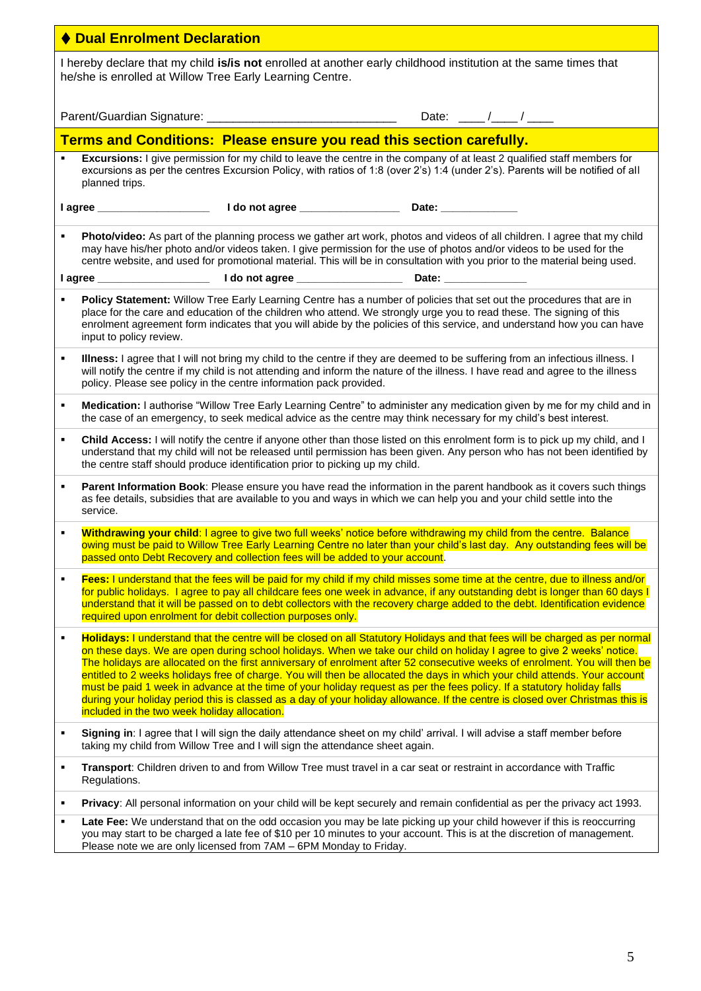| ♦ Dual Enrolment Declaration                                                                                                                                                                                                                                                                                                                                                                                                                                                                                                                                                                                                                                                                                                                                                                                                                   |  |  |  |  |
|------------------------------------------------------------------------------------------------------------------------------------------------------------------------------------------------------------------------------------------------------------------------------------------------------------------------------------------------------------------------------------------------------------------------------------------------------------------------------------------------------------------------------------------------------------------------------------------------------------------------------------------------------------------------------------------------------------------------------------------------------------------------------------------------------------------------------------------------|--|--|--|--|
| I hereby declare that my child is/is not enrolled at another early childhood institution at the same times that<br>he/she is enrolled at Willow Tree Early Learning Centre.                                                                                                                                                                                                                                                                                                                                                                                                                                                                                                                                                                                                                                                                    |  |  |  |  |
|                                                                                                                                                                                                                                                                                                                                                                                                                                                                                                                                                                                                                                                                                                                                                                                                                                                |  |  |  |  |
| Terms and Conditions: Please ensure you read this section carefully.                                                                                                                                                                                                                                                                                                                                                                                                                                                                                                                                                                                                                                                                                                                                                                           |  |  |  |  |
| Excursions: I give permission for my child to leave the centre in the company of at least 2 qualified staff members for<br>excursions as per the centres Excursion Policy, with ratios of 1:8 (over 2's) 1:4 (under 2's). Parents will be notified of all<br>planned trips.                                                                                                                                                                                                                                                                                                                                                                                                                                                                                                                                                                    |  |  |  |  |
|                                                                                                                                                                                                                                                                                                                                                                                                                                                                                                                                                                                                                                                                                                                                                                                                                                                |  |  |  |  |
| Photo/video: As part of the planning process we gather art work, photos and videos of all children. I agree that my child<br>٠<br>may have his/her photo and/or videos taken. I give permission for the use of photos and/or videos to be used for the<br>centre website, and used for promotional material. This will be in consultation with you prior to the material being used.                                                                                                                                                                                                                                                                                                                                                                                                                                                           |  |  |  |  |
|                                                                                                                                                                                                                                                                                                                                                                                                                                                                                                                                                                                                                                                                                                                                                                                                                                                |  |  |  |  |
| Policy Statement: Willow Tree Early Learning Centre has a number of policies that set out the procedures that are in<br>٠<br>place for the care and education of the children who attend. We strongly urge you to read these. The signing of this<br>enrolment agreement form indicates that you will abide by the policies of this service, and understand how you can have<br>input to policy review.                                                                                                                                                                                                                                                                                                                                                                                                                                        |  |  |  |  |
| Illness: I agree that I will not bring my child to the centre if they are deemed to be suffering from an infectious illness. I<br>$\blacksquare$<br>will notify the centre if my child is not attending and inform the nature of the illness. I have read and agree to the illness<br>policy. Please see policy in the centre information pack provided.                                                                                                                                                                                                                                                                                                                                                                                                                                                                                       |  |  |  |  |
| Medication: I authorise "Willow Tree Early Learning Centre" to administer any medication given by me for my child and in<br>٠<br>the case of an emergency, to seek medical advice as the centre may think necessary for my child's best interest.                                                                                                                                                                                                                                                                                                                                                                                                                                                                                                                                                                                              |  |  |  |  |
| Child Access: I will notify the centre if anyone other than those listed on this enrolment form is to pick up my child, and I<br>П<br>understand that my child will not be released until permission has been given. Any person who has not been identified by<br>the centre staff should produce identification prior to picking up my child.                                                                                                                                                                                                                                                                                                                                                                                                                                                                                                 |  |  |  |  |
| Parent Information Book: Please ensure you have read the information in the parent handbook as it covers such things<br>٠<br>as fee details, subsidies that are available to you and ways in which we can help you and your child settle into the<br>service.                                                                                                                                                                                                                                                                                                                                                                                                                                                                                                                                                                                  |  |  |  |  |
| Withdrawing your child: I agree to give two full weeks' notice before withdrawing my child from the centre. Balance<br>٠<br>owing must be paid to Willow Tree Early Learning Centre no later than your child's last day. Any outstanding fees will be<br>passed onto Debt Recovery and collection fees will be added to your account.                                                                                                                                                                                                                                                                                                                                                                                                                                                                                                          |  |  |  |  |
| Fees: I understand that the fees will be paid for my child if my child misses some time at the centre, due to illness and/or<br>$\blacksquare$<br>for public holidays. I agree to pay all childcare fees one week in advance, if any outstanding debt is longer than 60 days I<br>understand that it will be passed on to debt collectors with the recovery charge added to the debt. Identification evidence<br>required upon enrolment for debit collection purposes only.                                                                                                                                                                                                                                                                                                                                                                   |  |  |  |  |
| Holidays: I understand that the centre will be closed on all Statutory Holidays and that fees will be charged as per normal<br>$\blacksquare$<br>on these days. We are open during school holidays. When we take our child on holiday I agree to give 2 weeks' notice.<br>The holidays are allocated on the first anniversary of enrolment after 52 consecutive weeks of enrolment. You will then be<br>entitled to 2 weeks holidays free of charge. You will then be allocated the days in which your child attends. Your account<br>must be paid 1 week in advance at the time of your holiday request as per the fees policy. If a statutory holiday falls<br>during your holiday period this is classed as a day of your holiday allowance. If the centre is closed over Christmas this is<br>included in the two week holiday allocation. |  |  |  |  |
| Signing in: I agree that I will sign the daily attendance sheet on my child' arrival. I will advise a staff member before<br>٠<br>taking my child from Willow Tree and I will sign the attendance sheet again.                                                                                                                                                                                                                                                                                                                                                                                                                                                                                                                                                                                                                                 |  |  |  |  |
| Transport: Children driven to and from Willow Tree must travel in a car seat or restraint in accordance with Traffic<br>$\blacksquare$<br>Regulations.                                                                                                                                                                                                                                                                                                                                                                                                                                                                                                                                                                                                                                                                                         |  |  |  |  |
| Privacy: All personal information on your child will be kept securely and remain confidential as per the privacy act 1993.<br>٠                                                                                                                                                                                                                                                                                                                                                                                                                                                                                                                                                                                                                                                                                                                |  |  |  |  |
| Late Fee: We understand that on the odd occasion you may be late picking up your child however if this is reoccurring<br>٠                                                                                                                                                                                                                                                                                                                                                                                                                                                                                                                                                                                                                                                                                                                     |  |  |  |  |

you may start to be charged a late fee of \$10 per 10 minutes to your account. This is at the discretion of management. Please note we are only licensed from 7AM – 6PM Monday to Friday.